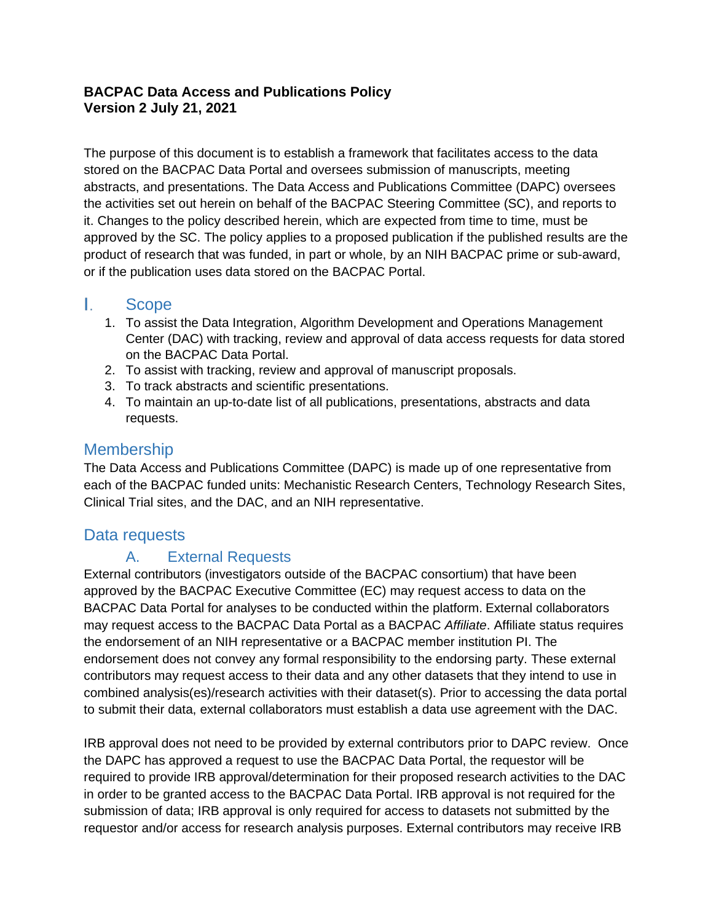### **BACPAC Data Access and Publications Policy Version 2 July 21, 2021**

The purpose of this document is to establish a framework that facilitates access to the data stored on the BACPAC Data Portal and oversees submission of manuscripts, meeting abstracts, and presentations. The Data Access and Publications Committee (DAPC) oversees the activities set out herein on behalf of the BACPAC Steering Committee (SC), and reports to it. Changes to the policy described herein, which are expected from time to time, must be approved by the SC. The policy applies to a proposed publication if the published results are the product of research that was funded, in part or whole, by an NIH BACPAC prime or sub-award, or if the publication uses data stored on the BACPAC Portal.

#### L. Scope

- 1. To assist the Data Integration, Algorithm Development and Operations Management Center (DAC) with tracking, review and approval of data access requests for data stored on the BACPAC Data Portal.
- 2. To assist with tracking, review and approval of manuscript proposals.
- 3. To track abstracts and scientific presentations.
- 4. To maintain an up-to-date list of all publications, presentations, abstracts and data requests.

### Membership

The Data Access and Publications Committee (DAPC) is made up of one representative from each of the BACPAC funded units: Mechanistic Research Centers, Technology Research Sites, Clinical Trial sites, and the DAC, and an NIH representative.

### Data requests

### A. External Requests

External contributors (investigators outside of the BACPAC consortium) that have been approved by the BACPAC Executive Committee (EC) may request access to data on the BACPAC Data Portal for analyses to be conducted within the platform. External collaborators may request access to the BACPAC Data Portal as a BACPAC *Affiliate*. Affiliate status requires the endorsement of an NIH representative or a BACPAC member institution PI. The endorsement does not convey any formal responsibility to the endorsing party. These external contributors may request access to their data and any other datasets that they intend to use in combined analysis(es)/research activities with their dataset(s). Prior to accessing the data portal to submit their data, external collaborators must establish a data use agreement with the DAC.

IRB approval does not need to be provided by external contributors prior to DAPC review. Once the DAPC has approved a request to use the BACPAC Data Portal, the requestor will be required to provide IRB approval/determination for their proposed research activities to the DAC in order to be granted access to the BACPAC Data Portal. IRB approval is not required for the submission of data; IRB approval is only required for access to datasets not submitted by the requestor and/or access for research analysis purposes. External contributors may receive IRB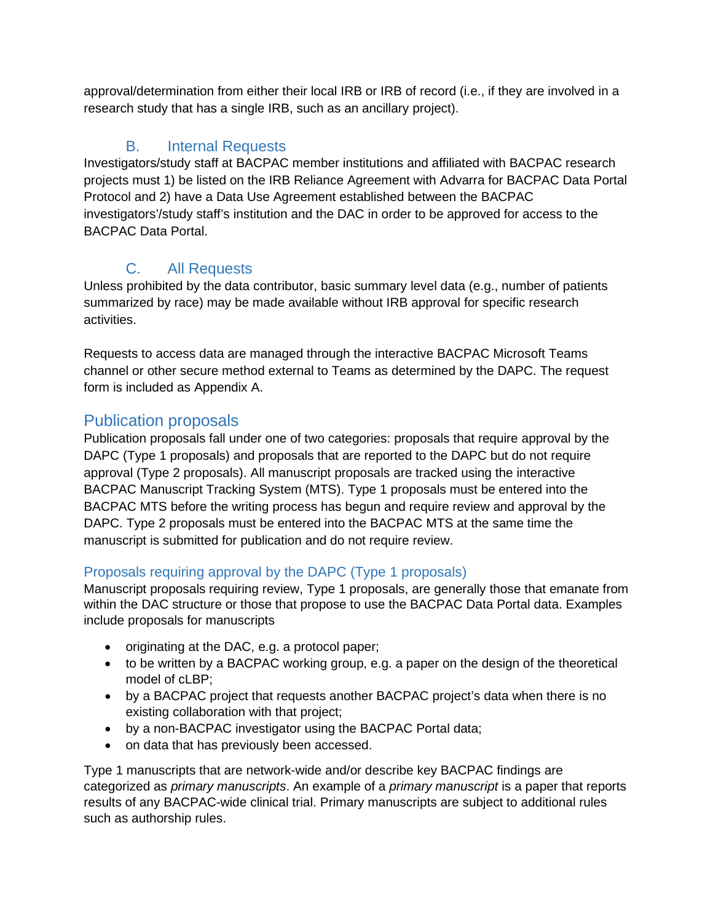approval/determination from either their local IRB or IRB of record (i.e., if they are involved in a research study that has a single IRB, such as an ancillary project).

## B. Internal Requests

Investigators/study staff at BACPAC member institutions and affiliated with BACPAC research projects must 1) be listed on the IRB Reliance Agreement with Advarra for BACPAC Data Portal Protocol and 2) have a Data Use Agreement established between the BACPAC investigators'/study staff's institution and the DAC in order to be approved for access to the BACPAC Data Portal.

## C. All Requests

Unless prohibited by the data contributor, basic summary level data (e.g., number of patients summarized by race) may be made available without IRB approval for specific research activities.

Requests to access data are managed through the interactive BACPAC Microsoft Teams channel or other secure method external to Teams as determined by the DAPC. The request form is included as Appendix A.

### Publication proposals

Publication proposals fall under one of two categories: proposals that require approval by the DAPC (Type 1 proposals) and proposals that are reported to the DAPC but do not require approval (Type 2 proposals). All manuscript proposals are tracked using the interactive BACPAC Manuscript Tracking System (MTS). Type 1 proposals must be entered into the BACPAC MTS before the writing process has begun and require review and approval by the DAPC. Type 2 proposals must be entered into the BACPAC MTS at the same time the manuscript is submitted for publication and do not require review.

### Proposals requiring approval by the DAPC (Type 1 proposals)

Manuscript proposals requiring review, Type 1 proposals, are generally those that emanate from within the DAC structure or those that propose to use the BACPAC Data Portal data. Examples include proposals for manuscripts

- originating at the DAC, e.g. a protocol paper;
- to be written by a BACPAC working group, e.g. a paper on the design of the theoretical model of cLBP;
- by a BACPAC project that requests another BACPAC project's data when there is no existing collaboration with that project;
- by a non-BACPAC investigator using the BACPAC Portal data;
- on data that has previously been accessed.

Type 1 manuscripts that are network-wide and/or describe key BACPAC findings are categorized as *primary manuscripts*. An example of a *primary manuscript* is a paper that reports results of any BACPAC-wide clinical trial. Primary manuscripts are subject to additional rules such as authorship rules.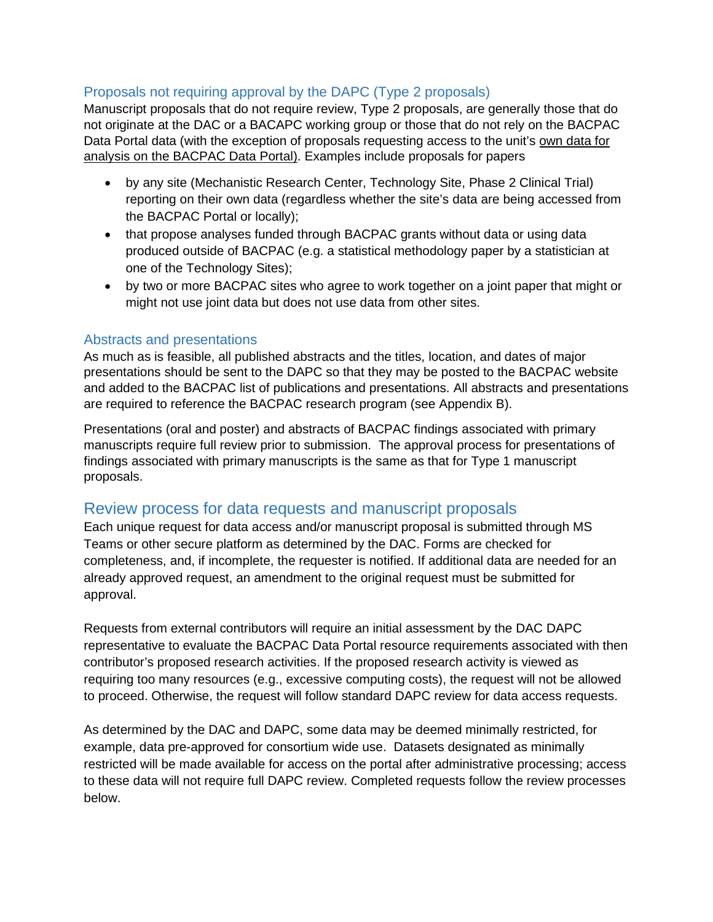### Proposals not requiring approval by the DAPC (Type 2 proposals)

Manuscript proposals that do not require review, Type 2 proposals, are generally those that do not originate at the DAC or a BACAPC working group or those that do not rely on the BACPAC Data Portal data (with the exception of proposals requesting access to the unit's own data for analysis on the BACPAC Data Portal). Examples include proposals for papers

- by any site (Mechanistic Research Center, Technology Site, Phase 2 Clinical Trial) reporting on their own data (regardless whether the site's data are being accessed from the BACPAC Portal or locally);
- that propose analyses funded through BACPAC grants without data or using data produced outside of BACPAC (e.g. a statistical methodology paper by a statistician at one of the Technology Sites);
- by two or more BACPAC sites who agree to work together on a joint paper that might or might not use joint data but does not use data from other sites.

#### Abstracts and presentations

As much as is feasible, all published abstracts and the titles, location, and dates of major presentations should be sent to the DAPC so that they may be posted to the BACPAC website and added to the BACPAC list of publications and presentations. All abstracts and presentations are required to reference the BACPAC research program (see Appendix B).

Presentations (oral and poster) and abstracts of BACPAC findings associated with primary manuscripts require full review prior to submission. The approval process for presentations of findings associated with primary manuscripts is the same as that for Type 1 manuscript proposals.

### Review process for data requests and manuscript proposals

Each unique request for data access and/or manuscript proposal is submitted through MS Teams or other secure platform as determined by the DAC. Forms are checked for completeness, and, if incomplete, the requester is notified. If additional data are needed for an already approved request, an amendment to the original request must be submitted for approval.

Requests from external contributors will require an initial assessment by the DAC DAPC representative to evaluate the BACPAC Data Portal resource requirements associated with then contributor's proposed research activities. If the proposed research activity is viewed as requiring too many resources (e.g., excessive computing costs), the request will not be allowed to proceed. Otherwise, the request will follow standard DAPC review for data access requests.

As determined by the DAC and DAPC, some data may be deemed minimally restricted, for example, data pre-approved for consortium wide use. Datasets designated as minimally restricted will be made available for access on the portal after administrative processing; access to these data will not require full DAPC review. Completed requests follow the review processes below.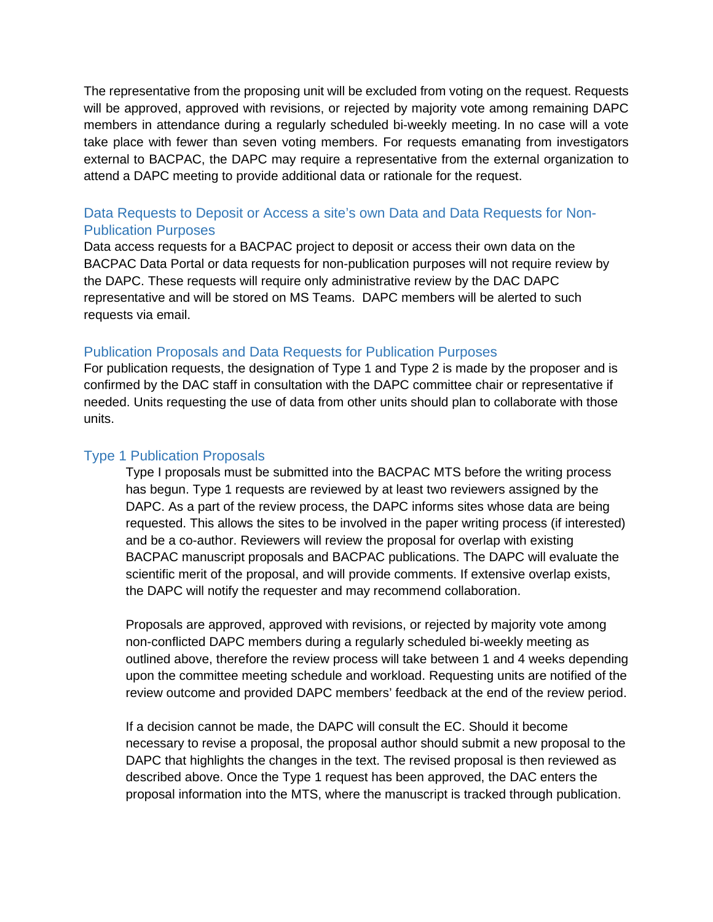The representative from the proposing unit will be excluded from voting on the request. Requests will be approved, approved with revisions, or rejected by majority vote among remaining DAPC members in attendance during a regularly scheduled bi-weekly meeting. In no case will a vote take place with fewer than seven voting members. For requests emanating from investigators external to BACPAC, the DAPC may require a representative from the external organization to attend a DAPC meeting to provide additional data or rationale for the request.

### Data Requests to Deposit or Access a site's own Data and Data Requests for Non-Publication Purposes

Data access requests for a BACPAC project to deposit or access their own data on the BACPAC Data Portal or data requests for non-publication purposes will not require review by the DAPC. These requests will require only administrative review by the DAC DAPC representative and will be stored on MS Teams. DAPC members will be alerted to such requests via email.

#### Publication Proposals and Data Requests for Publication Purposes

For publication requests, the designation of Type 1 and Type 2 is made by the proposer and is confirmed by the DAC staff in consultation with the DAPC committee chair or representative if needed. Units requesting the use of data from other units should plan to collaborate with those units.

#### Type 1 Publication Proposals

Type I proposals must be submitted into the BACPAC MTS before the writing process has begun. Type 1 requests are reviewed by at least two reviewers assigned by the DAPC. As a part of the review process, the DAPC informs sites whose data are being requested. This allows the sites to be involved in the paper writing process (if interested) and be a co-author. Reviewers will review the proposal for overlap with existing BACPAC manuscript proposals and BACPAC publications. The DAPC will evaluate the scientific merit of the proposal, and will provide comments. If extensive overlap exists, the DAPC will notify the requester and may recommend collaboration.

Proposals are approved, approved with revisions, or rejected by majority vote among non-conflicted DAPC members during a regularly scheduled bi-weekly meeting as outlined above, therefore the review process will take between 1 and 4 weeks depending upon the committee meeting schedule and workload. Requesting units are notified of the review outcome and provided DAPC members' feedback at the end of the review period.

If a decision cannot be made, the DAPC will consult the EC. Should it become necessary to revise a proposal, the proposal author should submit a new proposal to the DAPC that highlights the changes in the text. The revised proposal is then reviewed as described above. Once the Type 1 request has been approved, the DAC enters the proposal information into the MTS, where the manuscript is tracked through publication.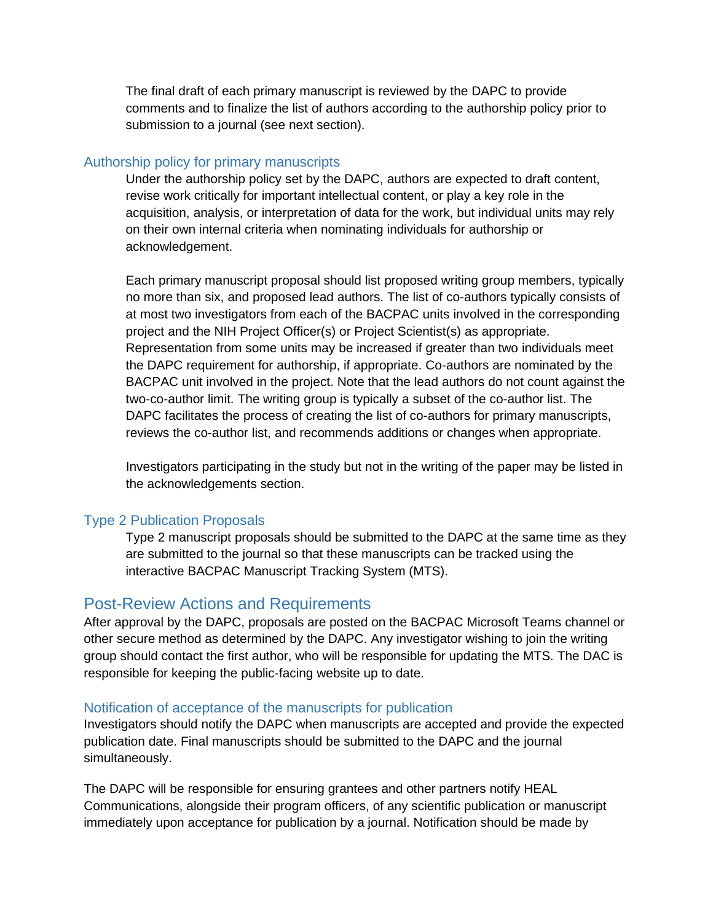The final draft of each primary manuscript is reviewed by the DAPC to provide comments and to finalize the list of authors according to the authorship policy prior to submission to a journal (see next section).

#### Authorship policy for primary manuscripts

Under the authorship policy set by the DAPC, authors are expected to draft content, revise work critically for important intellectual content, or play a key role in the acquisition, analysis, or interpretation of data for the work, but individual units may rely on their own internal criteria when nominating individuals for authorship or acknowledgement.

Each primary manuscript proposal should list proposed writing group members, typically no more than six, and proposed lead authors. The list of co-authors typically consists of at most two investigators from each of the BACPAC units involved in the corresponding project and the NIH Project Officer(s) or Project Scientist(s) as appropriate. Representation from some units may be increased if greater than two individuals meet the DAPC requirement for authorship, if appropriate. Co-authors are nominated by the BACPAC unit involved in the project. Note that the lead authors do not count against the two-co-author limit. The writing group is typically a subset of the co-author list. The DAPC facilitates the process of creating the list of co-authors for primary manuscripts, reviews the co-author list, and recommends additions or changes when appropriate.

Investigators participating in the study but not in the writing of the paper may be listed in the acknowledgements section.

#### Type 2 Publication Proposals

Type 2 manuscript proposals should be submitted to the DAPC at the same time as they are submitted to the journal so that these manuscripts can be tracked using the interactive BACPAC Manuscript Tracking System (MTS).

### Post-Review Actions and Requirements

After approval by the DAPC, proposals are posted on the BACPAC Microsoft Teams channel or other secure method as determined by the DAPC. Any investigator wishing to join the writing group should contact the first author, who will be responsible for updating the MTS. The DAC is responsible for keeping the public-facing website up to date.

#### Notification of acceptance of the manuscripts for publication

Investigators should notify the DAPC when manuscripts are accepted and provide the expected publication date. Final manuscripts should be submitted to the DAPC and the journal simultaneously.

The DAPC will be responsible for ensuring grantees and other partners notify HEAL Communications, alongside their program officers, of any scientific publication or manuscript immediately upon acceptance for publication by a journal. Notification should be made by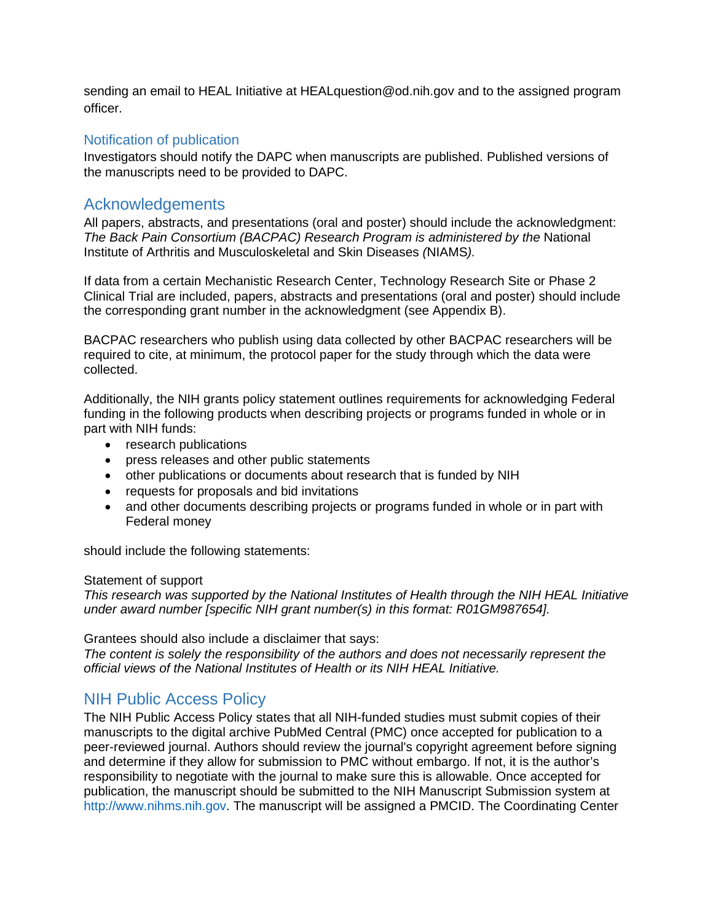sending an email to HEAL Initiative at HEALquestion@od.nih.gov and to the assigned program officer.

#### Notification of publication

Investigators should notify the DAPC when manuscripts are published. Published versions of the manuscripts need to be provided to DAPC.

### Acknowledgements

All papers, abstracts, and presentations (oral and poster) should include the acknowledgment: *The Back Pain Consortium (BACPAC) Research Program is administered by the* National Institute of Arthritis and Musculoskeletal and Skin Diseases *(*NIAMS*).*

If data from a certain Mechanistic Research Center, Technology Research Site or Phase 2 Clinical Trial are included, papers, abstracts and presentations (oral and poster) should include the corresponding grant number in the acknowledgment (see Appendix B).

BACPAC researchers who publish using data collected by other BACPAC researchers will be required to cite, at minimum, the protocol paper for the study through which the data were collected.

Additionally, the NIH grants policy statement outlines requirements for acknowledging Federal funding in the following products when describing projects or programs funded in whole or in part with NIH funds:

- research publications
- press releases and other public statements
- other publications or documents about research that is funded by NIH
- requests for proposals and bid invitations
- and other documents describing projects or programs funded in whole or in part with Federal money

should include the following statements:

#### Statement of support

*This research was supported by the National Institutes of Health through the NIH HEAL Initiative under award number [specific NIH grant number(s) in this format: R01GM987654].* 

Grantees should also include a disclaimer that says:

*The content is solely the responsibility of the authors and does not necessarily represent the official views of the National Institutes of Health or its NIH HEAL Initiative.*

### NIH Public Access Policy

The NIH Public Access Policy states that all NIH-funded studies must submit copies of their manuscripts to the digital archive PubMed Central (PMC) once accepted for publication to a peer-reviewed journal. Authors should review the journal's copyright agreement before signing and determine if they allow for submission to PMC without embargo. If not, it is the author's responsibility to negotiate with the journal to make sure this is allowable. Once accepted for publication, the manuscript should be submitted to the NIH Manuscript Submission system at http://www.nihms.nih.gov. The manuscript will be assigned a PMCID. The Coordinating Center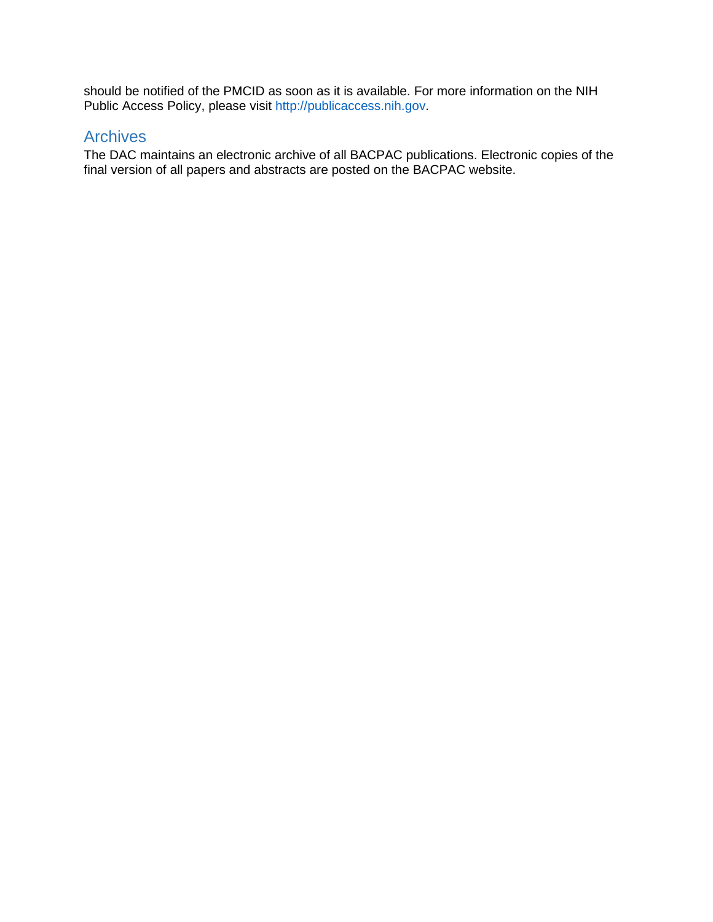should be notified of the PMCID as soon as it is available. For more information on the NIH Public Access Policy, please visit http://publicaccess.nih.gov.

### **Archives**

The DAC maintains an electronic archive of all BACPAC publications. Electronic copies of the final version of all papers and abstracts are posted on the BACPAC website.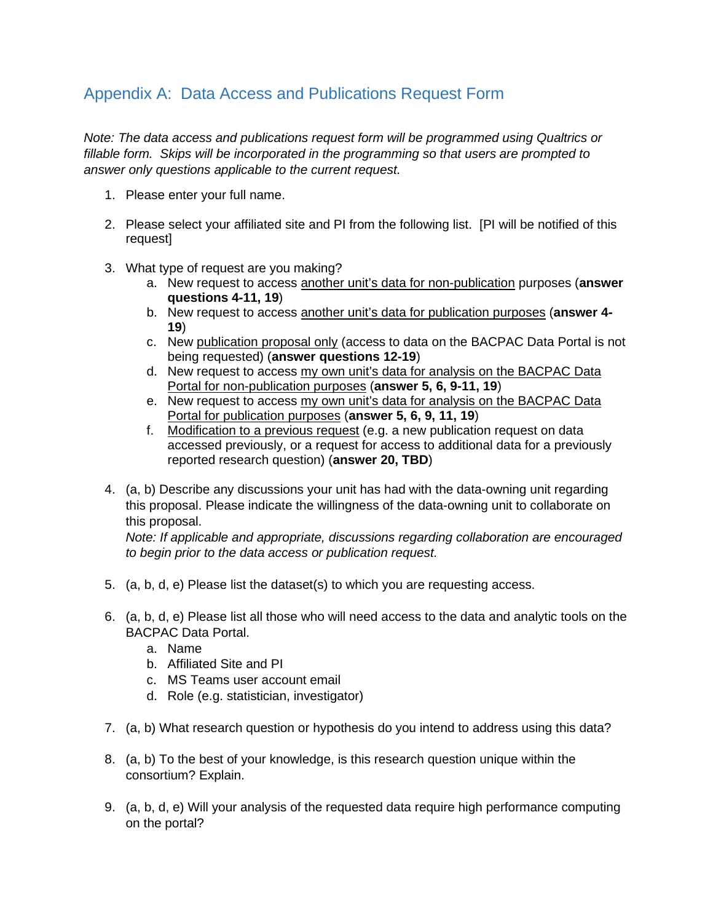### Appendix A: Data Access and Publications Request Form

*Note: The data access and publications request form will be programmed using Qualtrics or fillable form. Skips will be incorporated in the programming so that users are prompted to answer only questions applicable to the current request.*

- 1. Please enter your full name.
- 2. Please select your affiliated site and PI from the following list. [PI will be notified of this request]
- 3. What type of request are you making?
	- a. New request to access another unit's data for non-publication purposes (**answer questions 4-11, 19**)
	- b. New request to access another unit's data for publication purposes (**answer 4- 19**)
	- c. New publication proposal only (access to data on the BACPAC Data Portal is not being requested) (**answer questions 12-19**)
	- d. New request to access my own unit's data for analysis on the BACPAC Data Portal for non-publication purposes (**answer 5, 6, 9-11, 19**)
	- e. New request to access my own unit's data for analysis on the BACPAC Data Portal for publication purposes (**answer 5, 6, 9, 11, 19**)
	- f. Modification to a previous request (e.g. a new publication request on data accessed previously, or a request for access to additional data for a previously reported research question) (**answer 20, TBD**)
- 4. (a, b) Describe any discussions your unit has had with the data-owning unit regarding this proposal. Please indicate the willingness of the data-owning unit to collaborate on this proposal.

*Note: If applicable and appropriate, discussions regarding collaboration are encouraged to begin prior to the data access or publication request.*

- 5. (a, b, d, e) Please list the dataset(s) to which you are requesting access.
- 6. (a, b, d, e) Please list all those who will need access to the data and analytic tools on the BACPAC Data Portal.
	- a. Name
	- b. Affiliated Site and PI
	- c. MS Teams user account email
	- d. Role (e.g. statistician, investigator)
- 7. (a, b) What research question or hypothesis do you intend to address using this data?
- 8. (a, b) To the best of your knowledge, is this research question unique within the consortium? Explain.
- 9. (a, b, d, e) Will your analysis of the requested data require high performance computing on the portal?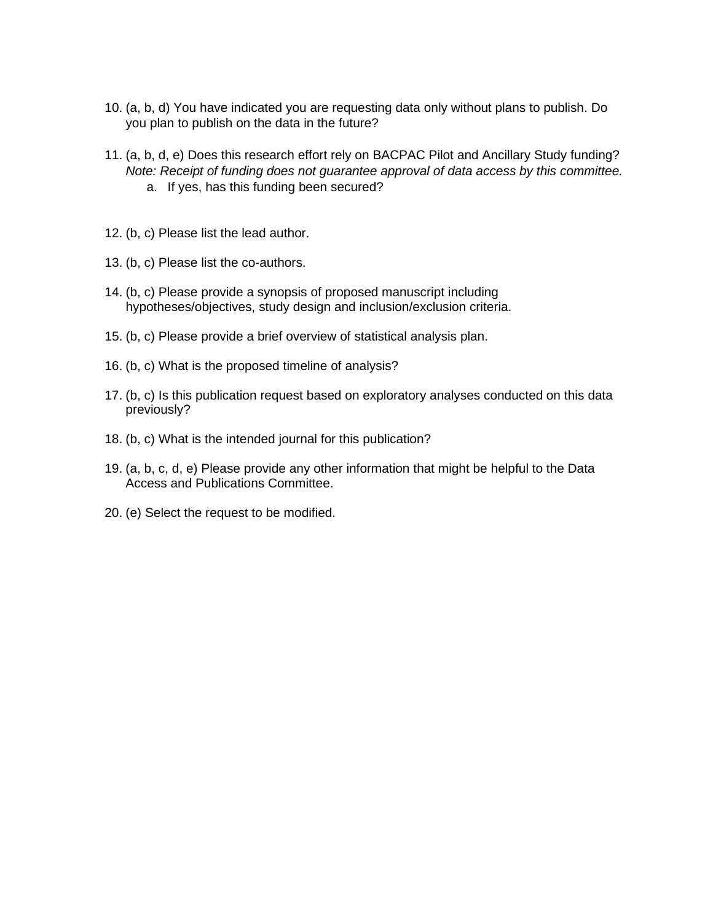- 10. (a, b, d) You have indicated you are requesting data only without plans to publish. Do you plan to publish on the data in the future?
- 11. (a, b, d, e) Does this research effort rely on BACPAC Pilot and Ancillary Study funding? *Note: Receipt of funding does not guarantee approval of data access by this committee.* a. If yes, has this funding been secured?
- 12. (b, c) Please list the lead author.
- 13. (b, c) Please list the co-authors.
- 14. (b, c) Please provide a synopsis of proposed manuscript including hypotheses/objectives, study design and inclusion/exclusion criteria.
- 15. (b, c) Please provide a brief overview of statistical analysis plan.
- 16. (b, c) What is the proposed timeline of analysis?
- 17. (b, c) Is this publication request based on exploratory analyses conducted on this data previously?
- 18. (b, c) What is the intended journal for this publication?
- 19. (a, b, c, d, e) Please provide any other information that might be helpful to the Data Access and Publications Committee.
- 20. (e) Select the request to be modified.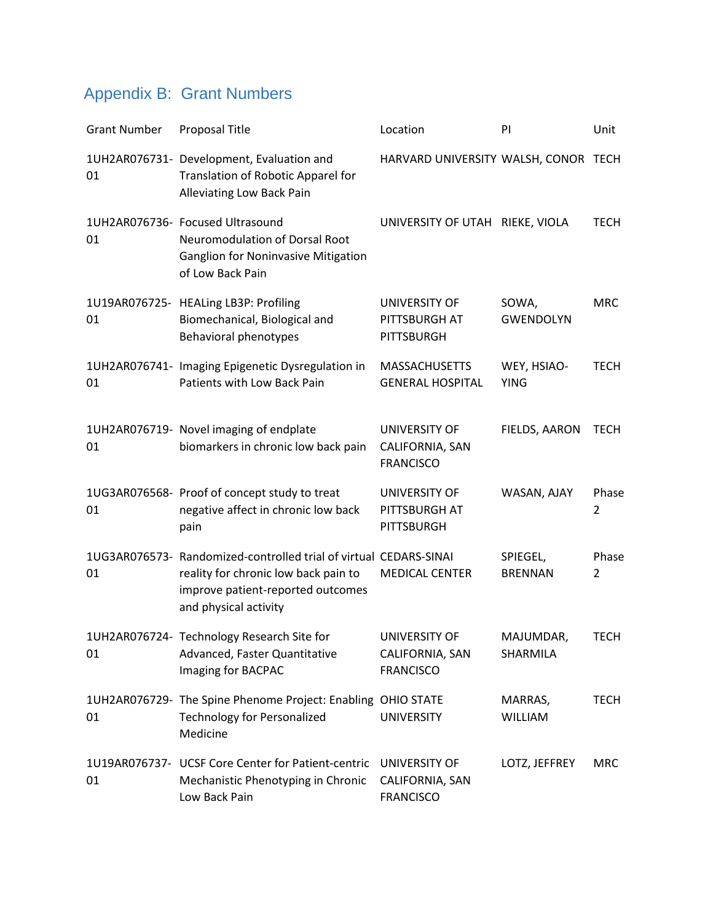# Appendix B: Grant Numbers

| <b>Grant Number</b> | Proposal Title                                                                                                                                                          | Location                                             | PI                         | Unit                    |
|---------------------|-------------------------------------------------------------------------------------------------------------------------------------------------------------------------|------------------------------------------------------|----------------------------|-------------------------|
| 01                  | 1UH2AR076731- Development, Evaluation and<br>Translation of Robotic Apparel for<br>Alleviating Low Back Pain                                                            | HARVARD UNIVERSITY WALSH, CONOR TECH                 |                            |                         |
| 01                  | 1UH2AR076736- Focused Ultrasound<br><b>Neuromodulation of Dorsal Root</b><br><b>Ganglion for Noninvasive Mitigation</b><br>of Low Back Pain                             | UNIVERSITY OF UTAH RIEKE, VIOLA                      |                            | <b>TECH</b>             |
| 01                  | 1U19AR076725- HEALing LB3P: Profiling<br>Biomechanical, Biological and<br><b>Behavioral phenotypes</b>                                                                  | UNIVERSITY OF<br>PITTSBURGH AT<br>PITTSBURGH         | SOWA,<br><b>GWENDOLYN</b>  | <b>MRC</b>              |
| 01                  | 1UH2AR076741- Imaging Epigenetic Dysregulation in<br>Patients with Low Back Pain                                                                                        | <b>MASSACHUSETTS</b><br><b>GENERAL HOSPITAL</b>      | WEY, HSIAO-<br><b>YING</b> | <b>TECH</b>             |
| 01                  | 1UH2AR076719- Novel imaging of endplate<br>biomarkers in chronic low back pain                                                                                          | UNIVERSITY OF<br>CALIFORNIA, SAN<br><b>FRANCISCO</b> | FIELDS, AARON              | <b>TECH</b>             |
| 01                  | 1UG3AR076568- Proof of concept study to treat<br>negative affect in chronic low back<br>pain                                                                            | UNIVERSITY OF<br>PITTSBURGH AT<br><b>PITTSBURGH</b>  | WASAN, AJAY                | Phase<br>$\overline{2}$ |
| 01                  | 1UG3AR076573- Randomized-controlled trial of virtual CEDARS-SINAI<br>reality for chronic low back pain to<br>improve patient-reported outcomes<br>and physical activity | <b>MEDICAL CENTER</b>                                | SPIEGEL,<br><b>BRENNAN</b> | Phase<br>2              |
| 01                  | 1UH2AR076724- Technology Research Site for<br>Advanced, Faster Quantitative<br>Imaging for BACPAC                                                                       | UNIVERSITY OF<br>CALIFORNIA, SAN<br><b>FRANCISCO</b> | MAJUMDAR,<br>SHARMILA      | <b>TECH</b>             |
| 01                  | 1UH2AR076729- The Spine Phenome Project: Enabling OHIO STATE<br><b>Technology for Personalized</b><br>Medicine                                                          | <b>UNIVERSITY</b>                                    | MARRAS,<br><b>WILLIAM</b>  | <b>TECH</b>             |
| 01                  | 1U19AR076737- UCSF Core Center for Patient-centric<br>Mechanistic Phenotyping in Chronic<br>Low Back Pain                                                               | UNIVERSITY OF<br>CALIFORNIA, SAN<br><b>FRANCISCO</b> | LOTZ, JEFFREY              | <b>MRC</b>              |